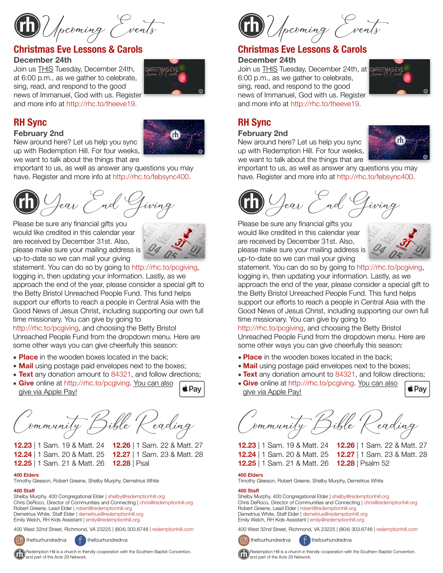Upcoming Events

## **Christmas Eve Lessons & Carols**

#### **December 24th**

Join us THIS Tuesday, December 24th, at 6:00 p.m., as we gather to celebrate, sing, read, and respond to the good news of Immanuel, God with us. Register and more info at <http://rhc.to/theeve19>.



# **RH Sync**

#### **February 2nd**

New around here? Let us help you sync up with Redemption Hill. For four weeks, we want to talk about the things that are

important to us, as well as answer any questions you may have. Register and more info at<http://rhc.to/febsync400>.

 $\mathcal{Y}_{\text{eav}}$  End Giving  $\qquad \qquad \textbf{(h)}$  Gear End G

Please be sure any financial gifts you would like credited in this calendar year are received by December 31st. Also, please make sure your mailing address is up-to-date so we can mail your giving

statement. You can do so by going to [http://rhc.to/pcgiving,](http://rhc.to/pcgiving)

logging in, then updating your information. Lastly, as we approach the end of the year, please consider a special gift to the Betty Bristol Unreached People Fund. This fund helps support our efforts to reach a people in Central Asia with the Good News of Jesus Christ, including supporting our own full time missionary. You can give by going to

[http://rhc.to/pcgiving,](http://rhc.to/pcgiving) and choosing the Betty Bristol Unreached People Fund from the dropdown menu. Here are some other ways you can give cheerfully this season:

- **Place** in the wooden boxes located in the back;
- **Mail** using postage paid envelopes next to the boxes;
- **Text** any donation amount to 84321, and follow directions;
- **Give** online at<http://rhc.to/pcgiving>. You can also give via Apple Pay!

Commun!y Bible Reading

**12.23** | 1 Sam. 19 & Matt. 24 **12.26** | 1 Sam. 22 & Matt. 27 **12.24** | 1 Sam. 20 & Matt. 25 **12.27** | 1 Sam. 23 & Matt. 28 **12.25** | 1 Sam. 21 & Matt. 26 **12.28** | Psal

#### **400 Elders**

Timothy Gleeson, Robert Greene, Shelby Murphy, Demetrius White

#### **400 Staff**

Shelby Murphy, 400 Congregational Elder | [shelby@redemptionhill.org](mailto:shelby@redemptionhill.org) Chris DeRoco, Director of Communities and Connecting | [chris@redemptionhill.org](mailto:chris@redemptionhill.org) Robert Greene, Lead Elder | [robert@redemptionhill.org](mailto:robert@redemptionhill.org) Demetrius White, Staff Elder | [demetrius@redemptionhill.org](mailto:demetrius@redemptionhill.org) Emily Welch, RH Kids Assistant | [emily@redemptionhill.org](mailto:emily@redemptionhill.org)

400 West 32nd Street, Richmond, VA 23225 | (804) 303.6748 | [redemptionhill.com](http://redemptionhill.com)



and part of the Acts 29 Network.

thefourhundredrva  $\left( \begin{array}{c} \uparrow \\ \uparrow \end{array} \right)$  thefourhundredrva

Redemption Hill is a church in friendly cooperation with the Southern Baptist Convention,

Upcoming Events

# **Christmas Eve Lessons & Carols**

### **December 24th**

Join us THIS Tuesday, December 24th, at CHRISTMAS 6:00 p.m., as we gather to celebrate, sing, read, and respond to the good news of Immanuel, God with us. Register and more info at [http://rhc.to/theeve19.](http://rhc.to/theeve19)



# **RH Sync**

#### **February 2nd**

New around here? Let us help you sync up with Redemption Hill. For four weeks, we want to talk about the things that are



important to us, as well as answer any questions you may have. Register and more info at<http://rhc.to/febsync400>.



Please be sure any financial gifts you would like credited in this calendar year are received by December 31st. Also, please make sure your mailing address is up-to-date so we can mail your giving



statement. You can do so by going to [http://rhc.to/pcgiving,](http://rhc.to/pcgiving) logging in, then updating your information. Lastly, as we approach the end of the year, please consider a special gift to the Betty Bristol Unreached People Fund. This fund helps support our efforts to reach a people in Central Asia with the Good News of Jesus Christ, including supporting our own full time missionary. You can give by going to

<http://rhc.to/pcgiving>, and choosing the Betty Bristol Unreached People Fund from the dropdown menu. Here are some other ways you can give cheerfully this season:

- **Place** in the wooden boxes located in the back;
- **Mail** using postage paid envelopes next to the boxes;
- **Text** any donation amount to 84321, and follow directions;
- **Give** online at [http://rhc.to/pcgiving.](http://rhc.to/pcgiving) You can also give via Apple Pay!

Commun!y Bible Reading

**12.23** | 1 Sam. 19 & Matt. 24 **12.26** | 1 Sam. 22 & Matt. 27 **12.24** | 1 Sam. 20 & Matt. 25 **12.27** | 1 Sam. 23 & Matt. 28 **12.25** | 1 Sam. 21 & Matt. 26 **12.28** | Psalm 52

**i**Pay

#### **400 Elders**

Timothy Gleeson, Robert Greene, Shelby Murphy, Demetrius White

#### **400 Staff**

Shelby Murphy, 400 Congregational Elder | [shelby@redemptionhill.org](mailto:shelby@redemptionhill.org) Chris DeRoco, Director of Communities and Connecting | [chris@redemptionhill.org](mailto:chris@redemptionhill.org) Robert Greene, Lead Elder | [robert@redemptionhill.org](mailto:robert@redemptionhill.org) Demetrius White, Staff Elder | [demetrius@redemptionhill.org](mailto:demetrius@redemptionhill.org) Emily Welch, RH Kids Assistant | [emily@redemptionhill.org](mailto:emily@redemptionhill.org)

400 West 32nd Street, Richmond, VA 23225 | (804) 303.6748 | [redemptionhill.com](http://redemptionhill.com)



thefourhundredrva  $\left( f \right)$  thefourhundredrva



Redemption Hill is a church in friendly cooperation with the Southern Baptist Convention,